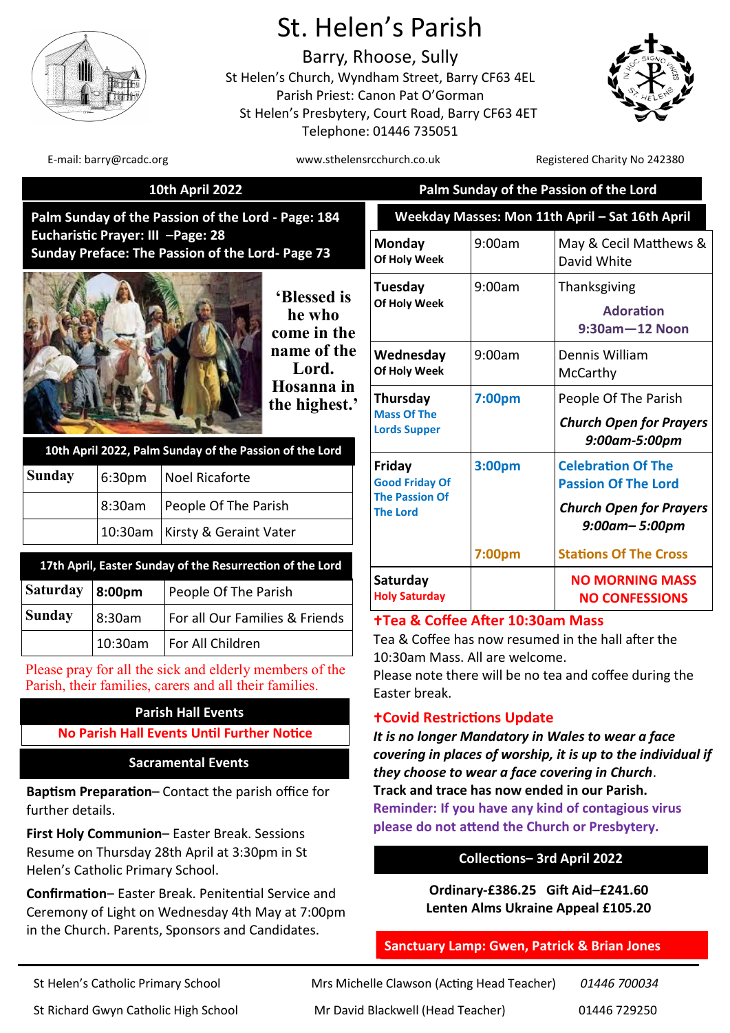

# St. Helen's Parish

Barry, Rhoose, Sully St Helen's Church, Wyndham Street, Barry CF63 4EL Parish Priest: Canon Pat O'Gorman St Helen's Presbytery, Court Road, Barry CF63 4ET Telephone: 01446 735051



 **10th April 2022 Palm Sunday of the Passion of the Lord**

Easter break.

**Covid Restrictions Update**

E-mail: barry@rcadc.org www.sthelensrcchurch.co.uk Registered Charity No 242380

*Church Open for Prayers 9:00am-5:00pm* 

*Church Open for Prayers 9:00am– 5:00pm*

May & Cecil Matthews &

| Palm Sunday of the Passion of the Lord - Page: 184                                    |                                                         |                                                                                                                   |                                      | Weekday Masses: Mon 11th April - Sat 16th April                                                                                     |                                     |                                                                       |
|---------------------------------------------------------------------------------------|---------------------------------------------------------|-------------------------------------------------------------------------------------------------------------------|--------------------------------------|-------------------------------------------------------------------------------------------------------------------------------------|-------------------------------------|-----------------------------------------------------------------------|
| Eucharistic Prayer: III -Page: 28<br>Sunday Preface: The Passion of the Lord- Page 73 |                                                         |                                                                                                                   | Monday<br>Of Holy Week               | 9:00am                                                                                                                              | May & Cecil Matthews<br>David White |                                                                       |
|                                                                                       |                                                         |                                                                                                                   | 'Blessed is<br>he who<br>come in the | Tuesday<br>Of Holy Week                                                                                                             | 9:00am                              | Thanksgiving<br><b>Adoration</b><br>$9:30$ am $-12$ Noon              |
|                                                                                       |                                                         | Lord.                                                                                                             | name of the                          | Wednesday<br>Of Holy Week                                                                                                           | 9:00am                              | Dennis William<br>McCarthy                                            |
|                                                                                       | 10th April 2022, Palm Sunday of the Passion of the Lord |                                                                                                                   | Hosanna in<br>the highest.'          | Thursday<br><b>Mass Of The</b><br><b>Lords Supper</b>                                                                               | 7:00pm                              | People Of The Parish<br><b>Church Open for Praye</b><br>9:00am-5:00pm |
| <b>Sunday</b>                                                                         | 6:30pm                                                  | <b>Noel Ricaforte</b>                                                                                             |                                      | Friday<br><b>Good Friday Of</b>                                                                                                     | 3:00pm                              | <b>Celebration Of The</b><br><b>Passion Of The Lord</b>               |
|                                                                                       | 8:30am                                                  | People Of The Parish<br>Kirsty & Geraint Vater                                                                    |                                      | <b>The Passion Of</b><br><b>The Lord</b>                                                                                            |                                     | <b>Church Open for Praye</b>                                          |
|                                                                                       | 10:30am                                                 |                                                                                                                   |                                      |                                                                                                                                     |                                     | $9:00$ am- $5:00$ pm                                                  |
|                                                                                       |                                                         | 17th April, Easter Sunday of the Resurrection of the Lord                                                         |                                      |                                                                                                                                     | 7:00pm                              | <b>Stations Of The Cross</b>                                          |
| <b>Saturday</b>                                                                       | 8:00pm                                                  | People Of The Parish                                                                                              |                                      | Saturday<br><b>Holy Saturday</b>                                                                                                    |                                     | <b>NO MORNING MASS</b><br><b>NO CONFESSIONS</b>                       |
| <b>Sunday</b>                                                                         | 8:30am                                                  | For all Our Families & Friends                                                                                    |                                      | <b>+Tea &amp; Coffee After 10:30am Mass</b><br>Tea & Coffee has now resumed in the hall after the<br>10:30am Mass. All are welcome. |                                     |                                                                       |
|                                                                                       | 10:30am                                                 | For All Children                                                                                                  |                                      |                                                                                                                                     |                                     |                                                                       |
|                                                                                       |                                                         | Please pray for all the sick and elderly members of the<br>Parish, their families, carers and all their families. |                                      | Foster brook                                                                                                                        |                                     | Please note there will be no tea and coffee during the                |

# **Parish Hall Events**

**No Parish Hall Events Until Further Notice** 

# **Sacramental Events**

**Baptism Preparation**– Contact the parish office for further details.

**First Holy Communion**– Easter Break. Sessions Resume on Thursday 28th April at 3:30pm in St Helen's Catholic Primary School.

**Confirmation**– Easter Break. Penitential Service and Ceremony of Light on Wednesday 4th May at 7:00pm in the Church. Parents, Sponsors and Candidates.

| <b>Reminder: If you have any kind of contagious virus</b> |  |  |  |  |  |  |
|-----------------------------------------------------------|--|--|--|--|--|--|
| please do not attend the Church or Presbytery.            |  |  |  |  |  |  |
|                                                           |  |  |  |  |  |  |
| <b>Collections- 3rd April 2022</b>                        |  |  |  |  |  |  |
|                                                           |  |  |  |  |  |  |
|                                                           |  |  |  |  |  |  |

*covering in places of worship, it is up to the individual if* 

**Ordinary-£386.25 Gift Aid–£241.60 Lenten Alms Ukraine Appeal £105.20**

# **Sanctuary Lamp: Gwen, Patrick & Brian Jones**

*It is no longer Mandatory in Wales to wear a face* 

*they choose to wear a face covering in Church*. **Track and trace has now ended in our Parish.** 

St Helen's Catholic Primary School Mrs Michelle Clawson (Acting Head Teacher) *01446 700034* St Richard Gwyn Catholic High School Mr David Blackwell (Head Teacher) 01446 729250